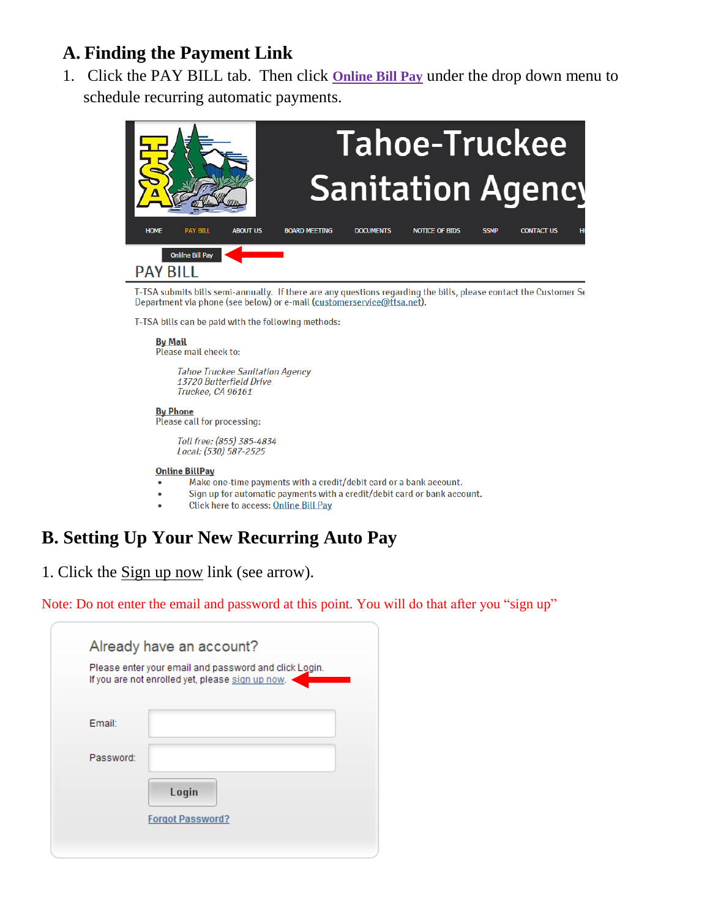## **A. Finding the Payment Link**

1. Click the PAY BILL tab. Then click **Online Bill Pay** under the drop down menu to schedule recurring automatic payments.



T-TSA submits bills semi-annually. If there are any questions regarding the bills, please contact the Customer Se Department via phone (see below) or e-mail (customerservice@ttsa.net).

T-TSA bills can be paid with the following methods:

**By Mail** Please mail check to:

> **Tahoe Truckee Sanitation Agency** 13720 Butterfield Drive Truckee, CA 96161

**By Phone** Please call for processing:

> Toll free: (855) 385-4834 Local: (530) 587-2525

#### **Online BillPay**

- Make one-time payments with a credit/debit card or a bank account.
- Sign up for automatic payments with a credit/debit card or bank account.
- Click here to access: Online Bill Pay

# **B. Setting Up Your New Recurring Auto Pay**

1. Click the Sign up now link (see arrow).

Note: Do not enter the email and password at this point. You will do that after you "sign up"

|           | Already have an account?<br>Please enter your email and password and click Login.<br>If you are not enrolled yet, please sign up now. |
|-----------|---------------------------------------------------------------------------------------------------------------------------------------|
| Email:    |                                                                                                                                       |
| Password: |                                                                                                                                       |
|           | Login                                                                                                                                 |
|           | <b>Forgot Password?</b>                                                                                                               |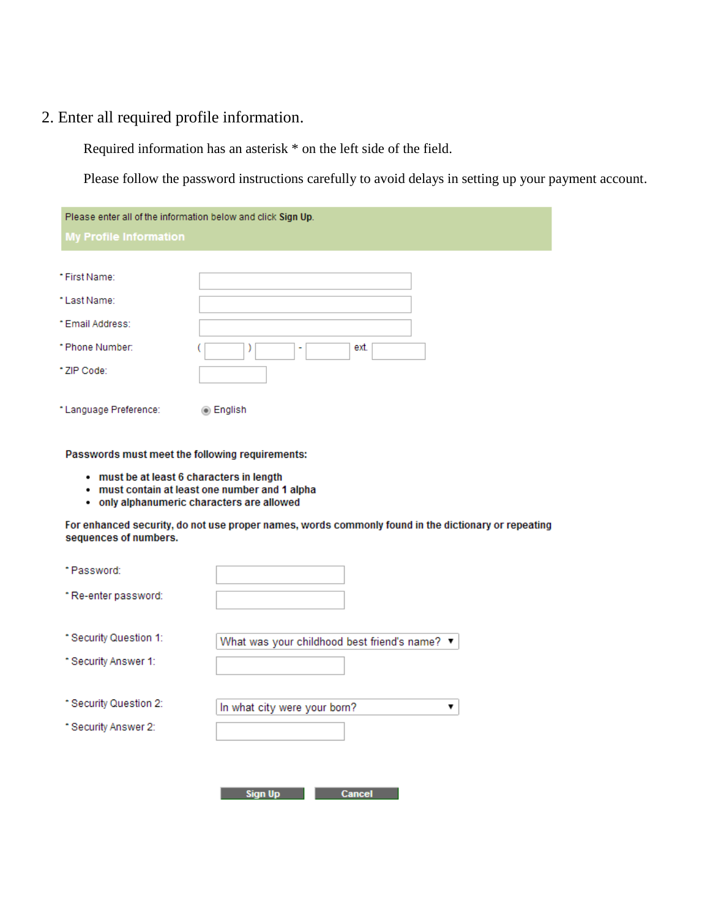#### 2. Enter all required profile information.

Required information has an asterisk \* on the left side of the field.

Please follow the password instructions carefully to avoid delays in setting up your payment account.

| Please enter all of the information below and click Sign Up. |           |  |  |  |
|--------------------------------------------------------------|-----------|--|--|--|
| <b>My Profile Information</b>                                |           |  |  |  |
|                                                              |           |  |  |  |
| * First Name:                                                |           |  |  |  |
| *Last Name:                                                  |           |  |  |  |
| *Email Address:                                              |           |  |  |  |
| * Phone Number:                                              | ext.<br>٠ |  |  |  |
| * ZIP Code:                                                  |           |  |  |  |
| * Language Preference:                                       | ◉ English |  |  |  |

Passwords must meet the following requirements:

- . must be at least 6 characters in length
- . must contain at least one number and 1 alpha
- . only alphanumeric characters are allowed

For enhanced security, do not use proper names, words commonly found in the dictionary or repeating sequences of numbers.

| *Password:             |                                               |
|------------------------|-----------------------------------------------|
| * Re-enter password:   |                                               |
| * Security Question 1: | What was your childhood best friend's name? v |
| * Security Answer 1:   |                                               |
| * Security Question 2: | In what city were your born?                  |
| * Security Answer 2:   |                                               |
|                        |                                               |
|                        | <b>Sign Up</b><br><b>Cancel</b>               |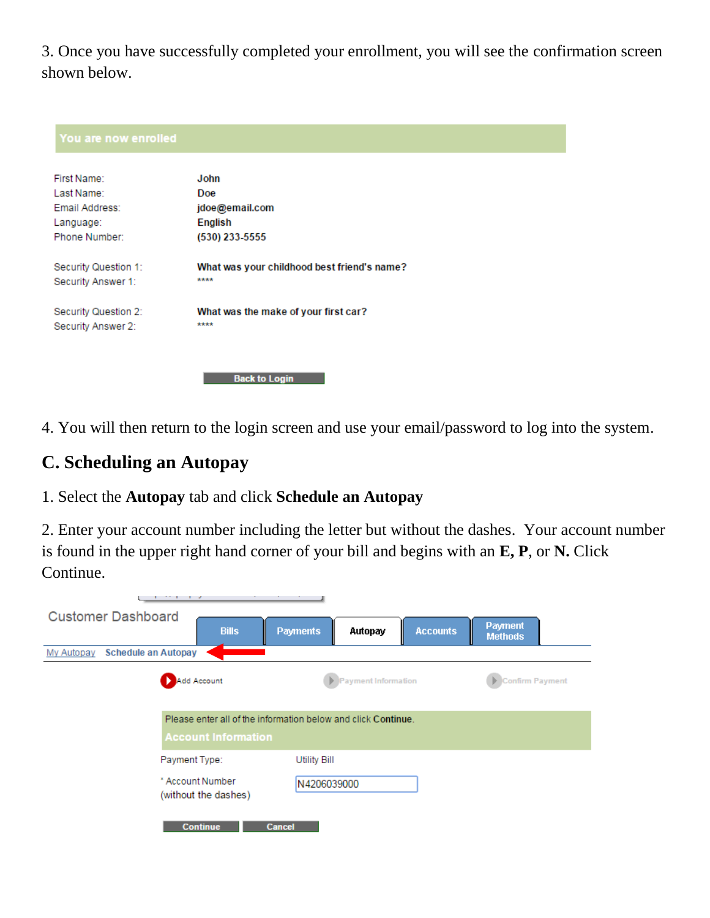3. Once you have successfully completed your enrollment, you will see the confirmation screen shown below.

| First Name:          | John                                        |
|----------------------|---------------------------------------------|
| Last Name:           | Doe                                         |
| Email Address:       | jdoe@email.com                              |
| Language:            | English                                     |
| Phone Number:        | (530) 233-5555                              |
| Security Question 1: | What was your childhood best friend's name? |
| Security Answer 1:   | ****                                        |
| Security Question 2: | What was the make of your first car?        |
| Security Answer 2:   | ****                                        |

4. You will then return to the login screen and use your email/password to log into the system.

### **C. Scheduling an Autopay**

1. Select the **Autopay** tab and click **Schedule an Autopay**

2. Enter your account number including the letter but without the dashes. Your account number is found in the upper right hand corner of your bill and begins with an **E, P**, or **N.** Click Continue.

|                                          | .                                                                                           |                            |                 |                                  |
|------------------------------------------|---------------------------------------------------------------------------------------------|----------------------------|-----------------|----------------------------------|
| <b>Customer Dashboard</b>                | <b>Bills</b>                                                                                | <b>Payments</b><br>Autopay | <b>Accounts</b> | <b>Payment</b><br><b>Methods</b> |
| <b>Schedule an Autopay</b><br>My Autopay |                                                                                             |                            |                 |                                  |
|                                          | Add Account                                                                                 | Payment Information        |                 | <b>Confirm Payment</b>           |
|                                          | Please enter all of the information below and click Continue.<br><b>Account Information</b> |                            |                 |                                  |
|                                          | Payment Type:                                                                               | <b>Utility Bill</b>        |                 |                                  |
|                                          | * Account Number<br>(without the dashes)                                                    | N4206039000                |                 |                                  |
|                                          | <b>Continue</b><br><b>Cancel</b>                                                            |                            |                 |                                  |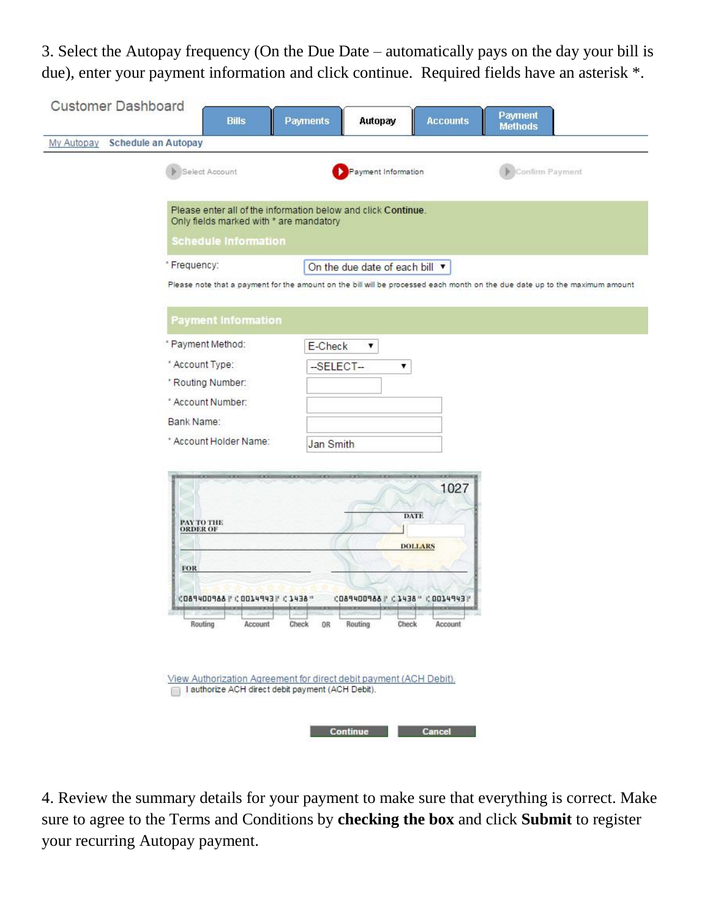3. Select the Autopay frequency (On the Due Date – automatically pays on the day your bill is due), enter your payment information and click continue. Required fields have an asterisk \*.

| <b>Customer Dashboard</b>                | <b>Bills</b>                                                                                                                                                                                                          | <b>Payments</b><br>Autopay                                                                                         | <b>Accounts</b>                             | <b>Payment</b><br><b>Methods</b>                                                                                            |
|------------------------------------------|-----------------------------------------------------------------------------------------------------------------------------------------------------------------------------------------------------------------------|--------------------------------------------------------------------------------------------------------------------|---------------------------------------------|-----------------------------------------------------------------------------------------------------------------------------|
| <b>Schedule an Autopay</b><br>My Autopay |                                                                                                                                                                                                                       |                                                                                                                    |                                             |                                                                                                                             |
|                                          | Select Account<br>Please enter all of the information below and click Continue.<br>Only fields marked with * are mandatory<br><b>Schedule Information</b>                                                             | Payment Information                                                                                                |                                             | Confirm Payment                                                                                                             |
|                                          | *Frequency:                                                                                                                                                                                                           | On the due date of each bill ▼                                                                                     |                                             | Please note that a payment for the amount on the bill will be processed each month on the due date up to the maximum amount |
|                                          | <b>Payment Information</b>                                                                                                                                                                                            |                                                                                                                    |                                             |                                                                                                                             |
|                                          | * Payment Method:<br>* Account Type:<br>* Routing Number:<br>* Account Number:<br>Bank Name:<br>* Account Holder Name:                                                                                                | E-Check<br>▼<br>$-SELECT -$<br>$\pmb{\mathrm{v}}$<br>Jan Smith                                                     |                                             |                                                                                                                             |
|                                          | PAY TO THE ORDER OF<br><b>FOR</b><br>C089400988   C0014943   C1438 "<br>Routing<br>Account<br>View Authorization Agreement for direct debit payment (ACH Debit).<br>I authorize ACH direct debit payment (ACH Debit). | <b>DATE</b><br>CO89400988   C3438 " COO34943   "<br>Routing<br>Check<br>Check<br>0 <sub>R</sub><br><b>Continue</b> | 1027<br><b>DOLLARS</b><br>Account<br>Cancel |                                                                                                                             |

4. Review the summary details for your payment to make sure that everything is correct. Make sure to agree to the Terms and Conditions by **checking the box** and click **Submit** to register your recurring Autopay payment.